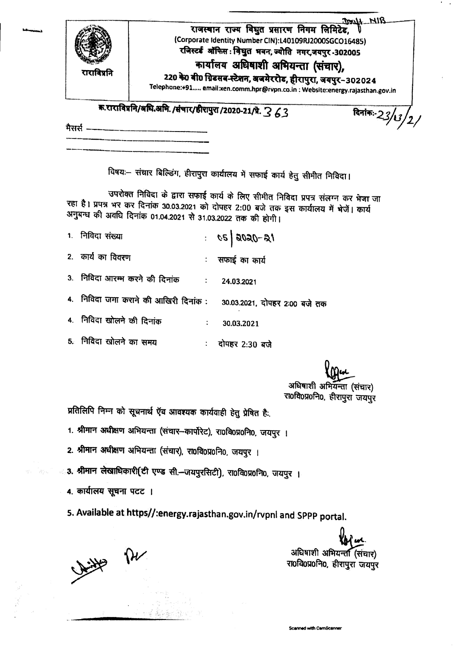| राराविप्रनि | राजस्थान राज्य विघुत प्रसारण निगम लिमिटेड,<br>(Corporate Identity Number CIN):L40109RJ2000SGCO16485)<br>रजिस्टर्ड ऑफिस: विधुत भवन, ज्योति नगर,जयपुर -302005<br>कार्यालय अधिषाशी अभियन्ता (संचार),<br>220 के0 बी0 ग्रिडसब-स्टेशन, अजमेररोड, हीरापुरा, जयपुर-302024<br>Telephone:+91 email:xen.comm.hpr@rvpn.co.in : Website:energy.rajasthan.gov.in |                 |
|-------------|----------------------------------------------------------------------------------------------------------------------------------------------------------------------------------------------------------------------------------------------------------------------------------------------------------------------------------------------------|-----------------|
|             | क.राराविप्रनि/अधि.अमि./संचार/हीरापुरा/2020-21/प्रे. 3 43                                                                                                                                                                                                                                                                                           | दिनांकः-23/13 / |

विषयः- संचार बिल्डिंग, हीरापुरा कार्यालय में सफाई कार्य हेतु सीमीत निविदा।

उपरोक्त निविदा के द्वारा सफाई कार्य के लिए सीमीत निविदा प्रपत्र संलग्न कर भेजा जा रहा है। प्रपत्र भर कर दिनांक 30.03.2021 को दोपहर 2:00 बजे तक इस कार्यालय में भेजें। कार्य अनुबन्ध की अवधि दिनांक 01.04.2021 से 31.03.2022 तक की होगी।

| 1. निविदा संख्या                                                    | $16 - 0.605$   $30$ : |
|---------------------------------------------------------------------|-----------------------|
| 2. कार्य का विवरण                                                   | सफाई का कार्य         |
| 3. निविदा आरम्भ करने की दिनांक विज्ञा : बिल्ला के साथ राज           | 24.03.2021            |
| 4. निविदा जमा कराने की आखिरी दिनांक : 30.03.2021, दोपहर 2:00 बजे तक |                       |
| 4. निविदा खोलने की दिनांक                                           | 30.03.2021            |
| 5. निविदा खोलने का समय                                              | दोपहर 2:30 बजे        |

अधिबाशी अभियन्ता (संचार) रा0वि0प्र0नि0, हीरापुरा जयपुर

प्रतिलिपि निम्न को सूचनार्थ ऍव आवश्यक कार्यवाही हेतु प्रेषित है.

1. श्रीमान अधीक्षण अभियन्ता (संचार-कार्पोरेट), रा0वि0प्र0नि0, जयपुर ।

2. श्रीमान अधीक्षण अभियन्ता (संचार), रा0वि0प्र0नि0, जयपुर ।

• 3. श्रीमान लेखाधिकारी(टी एण्ड सी.-जयपुरसिटी), राoविoप्रoनिo, जयपुर ।

4. कार्यालय सूचना पटट ।

5. Available at https//:energy.rajasthan.gov.in/rvpnl and SPPP portal.

With PH

अधिषाशी अभियन्त (संचार) रा0वि0प्र0नि0, हीरापुरा जयपुर